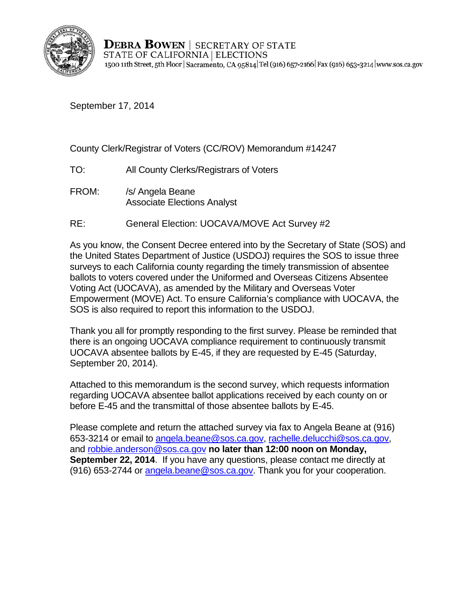

**DEBRA BOWEN** | SECRETARY OF STATE STATE OF CALIFORNIA | ELECTIONS 1500 11th Street, 5th Floor | Sacramento, CA 95814 Tel (916) 657-2166 | Fax (916) 653-3214 | www.sos.ca.gov

September 17, 2014

County Clerk/Registrar of Voters (CC/ROV) Memorandum #14247

- TO: All County Clerks/Registrars of Voters
- FROM: /s/ Angela Beane Associate Elections Analyst
- RE: General Election: UOCAVA/MOVE Act Survey #2

As you know, the Consent Decree entered into by the Secretary of State (SOS) and the United States Department of Justice (USDOJ) requires the SOS to issue three surveys to each California county regarding the timely transmission of absentee ballots to voters covered under the Uniformed and Overseas Citizens Absentee Voting Act (UOCAVA), as amended by the Military and Overseas Voter Empowerment (MOVE) Act. To ensure California's compliance with UOCAVA, the SOS is also required to report this information to the USDOJ.

Thank you all for promptly responding to the first survey. Please be reminded that there is an ongoing UOCAVA compliance requirement to continuously transmit UOCAVA absentee ballots by E-45, if they are requested by E-45 (Saturday, September 20, 2014).

Attached to this memorandum is the second survey, which requests information regarding UOCAVA absentee ballot applications received by each county on or before E-45 and the transmittal of those absentee ballots by E-45.

Please complete and return the attached survey via fax to Angela Beane at (916) 653-3214 or email to [angela.beane@sos.ca.gov,](mailto:angela.beane@sos.ca.gov) [rachelle.delucchi@sos.ca.gov,](mailto:rachelle.delucchi@sos.ca.gov) and [robbie.anderson@sos.ca.gov](mailto:robbie.anderson@sos.ca.gov) **no later than 12:00 noon on Monday, September 22, 2014.** If you have any questions, please contact me directly at (916) 653-2744 or [angela.beane@sos.ca.gov.](mailto:angela.beane@sos.ca.gov) Thank you for your cooperation.